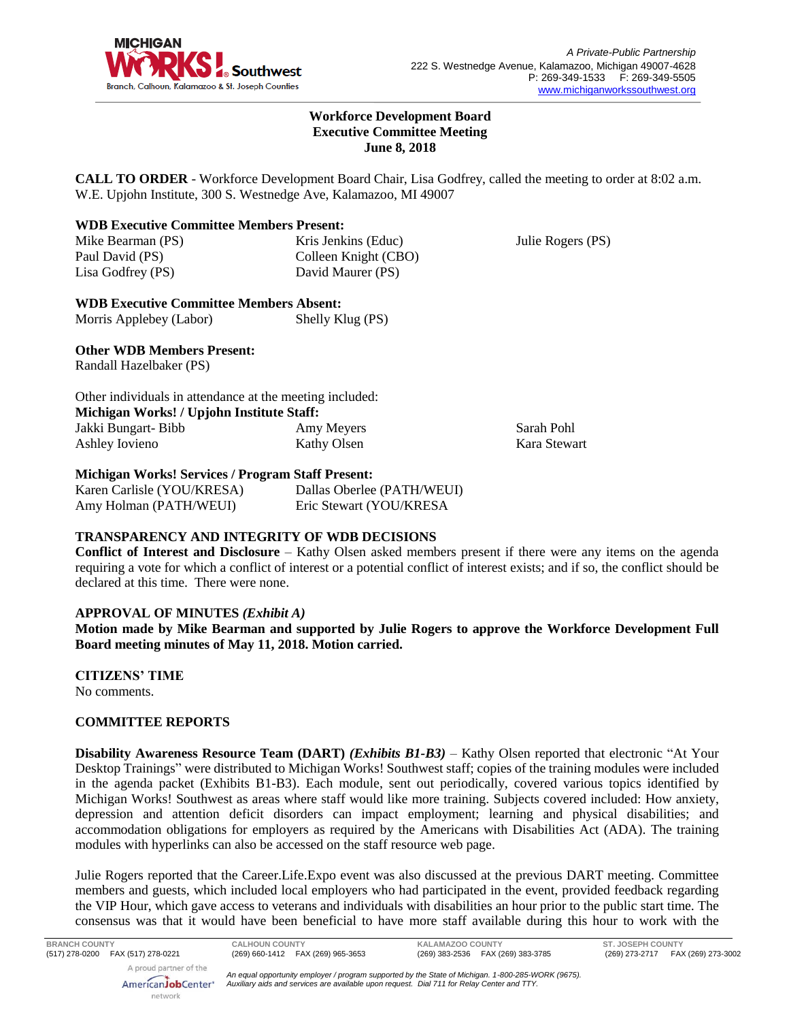

Julie Rogers (PS)

## **Workforce Development Board Executive Committee Meeting June 8, 2018**

**CALL TO ORDER** - Workforce Development Board Chair, Lisa Godfrey, called the meeting to order at 8:02 a.m. W.E. Upjohn Institute, 300 S. Westnedge Ave, Kalamazoo, MI 49007

## **WDB Executive Committee Members Present:**

Mike Bearman (PS) Paul David (PS) Lisa Godfrey (PS)

Kris Jenkins (Educ) Colleen Knight (CBO) David Maurer (PS)

**WDB Executive Committee Members Absent:** Morris Applebey (Labor) Shelly Klug (PS)

## **Other WDB Members Present:**

Randall Hazelbaker (PS)

| Other individuals in attendance at the meeting included: |             |              |  |
|----------------------------------------------------------|-------------|--------------|--|
| Michigan Works! / Upjohn Institute Staff:                |             |              |  |
| Jakki Bungart- Bibb                                      | Amy Meyers  | Sarah Pohl   |  |
| Ashley Iovieno                                           | Kathy Olsen | Kara Stewart |  |
|                                                          |             |              |  |

## **Michigan Works! Services / Program Staff Present:**

| Karen Carlisle (YOU/KRESA) | Dallas Oberlee (PATH/WEUI) |
|----------------------------|----------------------------|
| Amy Holman (PATH/WEUI)     | Eric Stewart (YOU/KRESA    |

# **TRANSPARENCY AND INTEGRITY OF WDB DECISIONS**

**Conflict of Interest and Disclosure** – Kathy Olsen asked members present if there were any items on the agenda requiring a vote for which a conflict of interest or a potential conflict of interest exists; and if so, the conflict should be declared at this time. There were none.

## **APPROVAL OF MINUTES** *(Exhibit A)*

**Motion made by Mike Bearman and supported by Julie Rogers to approve the Workforce Development Full Board meeting minutes of May 11, 2018. Motion carried.** 

**CITIZENS' TIME**

No comments.

# **COMMITTEE REPORTS**

**Disability Awareness Resource Team (DART)** *(Exhibits B1-B3)* – Kathy Olsen reported that electronic "At Your Desktop Trainings" were distributed to Michigan Works! Southwest staff; copies of the training modules were included in the agenda packet (Exhibits B1-B3). Each module, sent out periodically, covered various topics identified by Michigan Works! Southwest as areas where staff would like more training. Subjects covered included: How anxiety, depression and attention deficit disorders can impact employment; learning and physical disabilities; and accommodation obligations for employers as required by the Americans with Disabilities Act (ADA). The training modules with hyperlinks can also be accessed on the staff resource web page.

Julie Rogers reported that the Career.Life.Expo event was also discussed at the previous DART meeting. Committee members and guests, which included local employers who had participated in the event, provided feedback regarding the VIP Hour, which gave access to veterans and individuals with disabilities an hour prior to the public start time. The consensus was that it would have been beneficial to have more staff available during this hour to work with the

AmericanJobCenter<sup>®</sup> network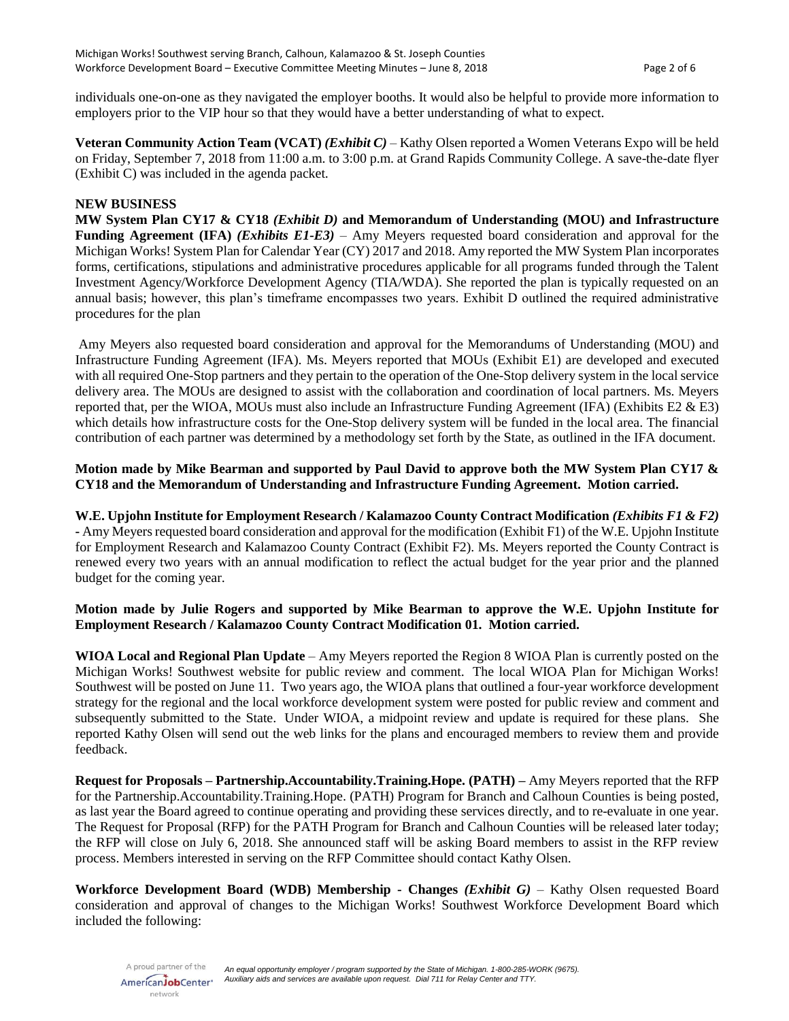individuals one-on-one as they navigated the employer booths. It would also be helpful to provide more information to employers prior to the VIP hour so that they would have a better understanding of what to expect.

**Veteran Community Action Team (VCAT)** *(Exhibit C)* – Kathy Olsen reported a Women Veterans Expo will be held on Friday, September 7, 2018 from 11:00 a.m. to 3:00 p.m. at Grand Rapids Community College. A save-the-date flyer (Exhibit C) was included in the agenda packet.

#### **NEW BUSINESS**

**MW System Plan CY17 & CY18** *(Exhibit D)* **and Memorandum of Understanding (MOU) and Infrastructure Funding Agreement (IFA)** *(Exhibits E1-E3)* – Amy Meyers requested board consideration and approval for the Michigan Works! System Plan for Calendar Year (CY) 2017 and 2018. Amy reported the MW System Plan incorporates forms, certifications, stipulations and administrative procedures applicable for all programs funded through the Talent Investment Agency/Workforce Development Agency (TIA/WDA). She reported the plan is typically requested on an annual basis; however, this plan's timeframe encompasses two years. Exhibit D outlined the required administrative procedures for the plan

Amy Meyers also requested board consideration and approval for the Memorandums of Understanding (MOU) and Infrastructure Funding Agreement (IFA). Ms. Meyers reported that MOUs (Exhibit E1) are developed and executed with all required One-Stop partners and they pertain to the operation of the One-Stop delivery system in the local service delivery area. The MOUs are designed to assist with the collaboration and coordination of local partners. Ms. Meyers reported that, per the WIOA, MOUs must also include an Infrastructure Funding Agreement (IFA) (Exhibits E2 & E3) which details how infrastructure costs for the One-Stop delivery system will be funded in the local area. The financial contribution of each partner was determined by a methodology set forth by the State, as outlined in the IFA document.

**Motion made by Mike Bearman and supported by Paul David to approve both the MW System Plan CY17 & CY18 and the Memorandum of Understanding and Infrastructure Funding Agreement. Motion carried.**

**W.E. Upjohn Institute for Employment Research / Kalamazoo County Contract Modification** *(Exhibits F1 & F2)* **-** Amy Meyers requested board consideration and approval for the modification (Exhibit F1) of the W.E. Upjohn Institute for Employment Research and Kalamazoo County Contract (Exhibit F2). Ms. Meyers reported the County Contract is renewed every two years with an annual modification to reflect the actual budget for the year prior and the planned budget for the coming year.

## **Motion made by Julie Rogers and supported by Mike Bearman to approve the W.E. Upjohn Institute for Employment Research / Kalamazoo County Contract Modification 01. Motion carried.**

**WIOA Local and Regional Plan Update** – Amy Meyers reported the Region 8 WIOA Plan is currently posted on the Michigan Works! Southwest website for public review and comment. The local WIOA Plan for Michigan Works! Southwest will be posted on June 11. Two years ago, the WIOA plans that outlined a four-year workforce development strategy for the regional and the local workforce development system were posted for public review and comment and subsequently submitted to the State. Under WIOA, a midpoint review and update is required for these plans. She reported Kathy Olsen will send out the web links for the plans and encouraged members to review them and provide feedback.

**Request for Proposals – Partnership.Accountability.Training.Hope. (PATH) –** Amy Meyers reported that the RFP for the Partnership.Accountability.Training.Hope. (PATH) Program for Branch and Calhoun Counties is being posted, as last year the Board agreed to continue operating and providing these services directly, and to re-evaluate in one year. The Request for Proposal (RFP) for the PATH Program for Branch and Calhoun Counties will be released later today; the RFP will close on July 6, 2018. She announced staff will be asking Board members to assist in the RFP review process. Members interested in serving on the RFP Committee should contact Kathy Olsen.

**Workforce Development Board (WDB) Membership - Changes** *(Exhibit G) –* Kathy Olsen requested Board consideration and approval of changes to the Michigan Works! Southwest Workforce Development Board which included the following:

A proud partner of the AmericanJobCenter<sup>®</sup> network

*An equal opportunity employer / program supported by the State of Michigan. 1-800-285-WORK (9675). Auxiliary aids and services are available upon request. Dial 711 for Relay Center and TTY.*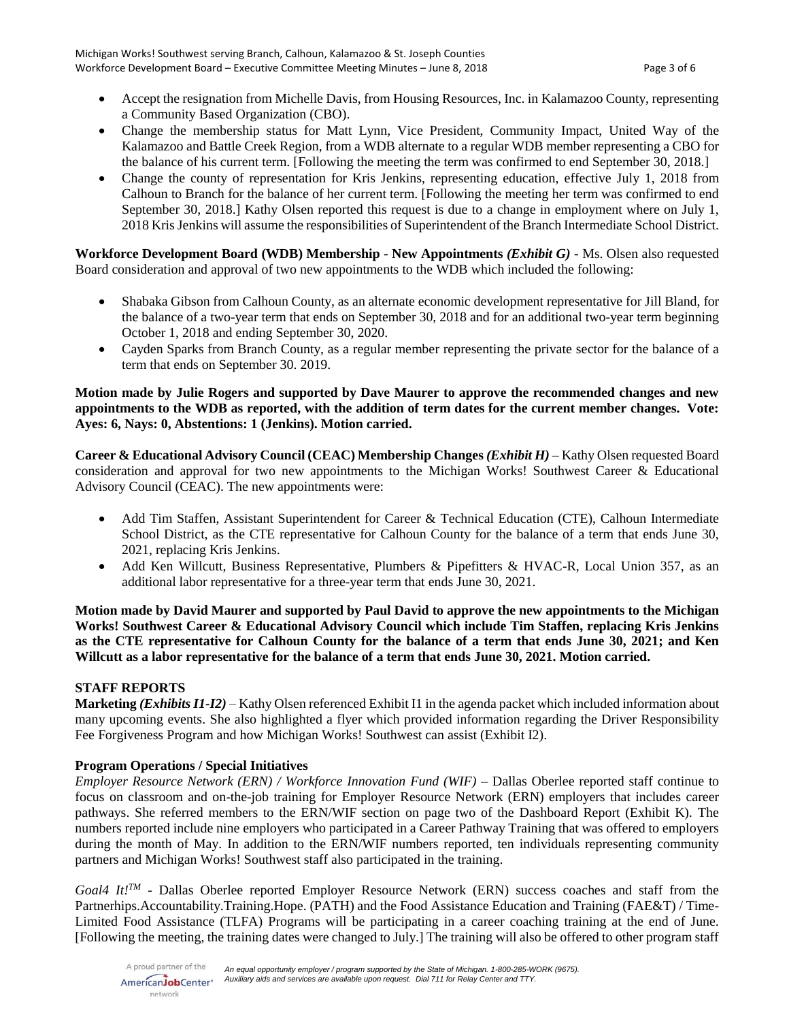- Accept the resignation from Michelle Davis, from Housing Resources, Inc. in Kalamazoo County, representing a Community Based Organization (CBO).
- Change the membership status for Matt Lynn, Vice President, Community Impact, United Way of the Kalamazoo and Battle Creek Region, from a WDB alternate to a regular WDB member representing a CBO for the balance of his current term. [Following the meeting the term was confirmed to end September 30, 2018.]
- Change the county of representation for Kris Jenkins, representing education, effective July 1, 2018 from Calhoun to Branch for the balance of her current term. [Following the meeting her term was confirmed to end September 30, 2018.] Kathy Olsen reported this request is due to a change in employment where on July 1, 2018 Kris Jenkins will assume the responsibilities of Superintendent of the Branch Intermediate School District.

**Workforce Development Board (WDB) Membership - New Appointments** *(Exhibit G)* **-** Ms. Olsen also requested Board consideration and approval of two new appointments to the WDB which included the following:

- Shabaka Gibson from Calhoun County, as an alternate economic development representative for Jill Bland, for the balance of a two-year term that ends on September 30, 2018 and for an additional two-year term beginning October 1, 2018 and ending September 30, 2020.
- Cayden Sparks from Branch County, as a regular member representing the private sector for the balance of a term that ends on September 30. 2019.

## **Motion made by Julie Rogers and supported by Dave Maurer to approve the recommended changes and new appointments to the WDB as reported, with the addition of term dates for the current member changes. Vote: Ayes: 6, Nays: 0, Abstentions: 1 (Jenkins). Motion carried.**

**Career & Educational Advisory Council (CEAC) Membership Changes** *(Exhibit H) –* Kathy Olsen requested Board consideration and approval for two new appointments to the Michigan Works! Southwest Career & Educational Advisory Council (CEAC). The new appointments were:

- Add Tim Staffen, Assistant Superintendent for Career & Technical Education (CTE), Calhoun Intermediate School District, as the CTE representative for Calhoun County for the balance of a term that ends June 30, 2021, replacing Kris Jenkins.
- Add Ken Willcutt, Business Representative, Plumbers & Pipefitters & HVAC-R, Local Union 357, as an additional labor representative for a three-year term that ends June 30, 2021.

**Motion made by David Maurer and supported by Paul David to approve the new appointments to the Michigan Works! Southwest Career & Educational Advisory Council which include Tim Staffen, replacing Kris Jenkins as the CTE representative for Calhoun County for the balance of a term that ends June 30, 2021; and Ken Willcutt as a labor representative for the balance of a term that ends June 30, 2021. Motion carried.**

# **STAFF REPORTS**

**Marketing** *(Exhibits I1-I2)* – Kathy Olsen referenced Exhibit I1 in the agenda packet which included information about many upcoming events. She also highlighted a flyer which provided information regarding the Driver Responsibility Fee Forgiveness Program and how Michigan Works! Southwest can assist (Exhibit I2).

# **Program Operations / Special Initiatives**

*Employer Resource Network (ERN) / Workforce Innovation Fund (WIF) –* Dallas Oberlee reported staff continue to focus on classroom and on-the-job training for Employer Resource Network (ERN) employers that includes career pathways. She referred members to the ERN/WIF section on page two of the Dashboard Report (Exhibit K). The numbers reported include nine employers who participated in a Career Pathway Training that was offered to employers during the month of May. In addition to the ERN/WIF numbers reported, ten individuals representing community partners and Michigan Works! Southwest staff also participated in the training.

*Goal4 It!TM* - Dallas Oberlee reported Employer Resource Network (ERN) success coaches and staff from the Partnerhips.Accountability.Training.Hope. (PATH) and the Food Assistance Education and Training (FAE&T) / Time-Limited Food Assistance (TLFA) Programs will be participating in a career coaching training at the end of June. [Following the meeting, the training dates were changed to July.] The training will also be offered to other program staff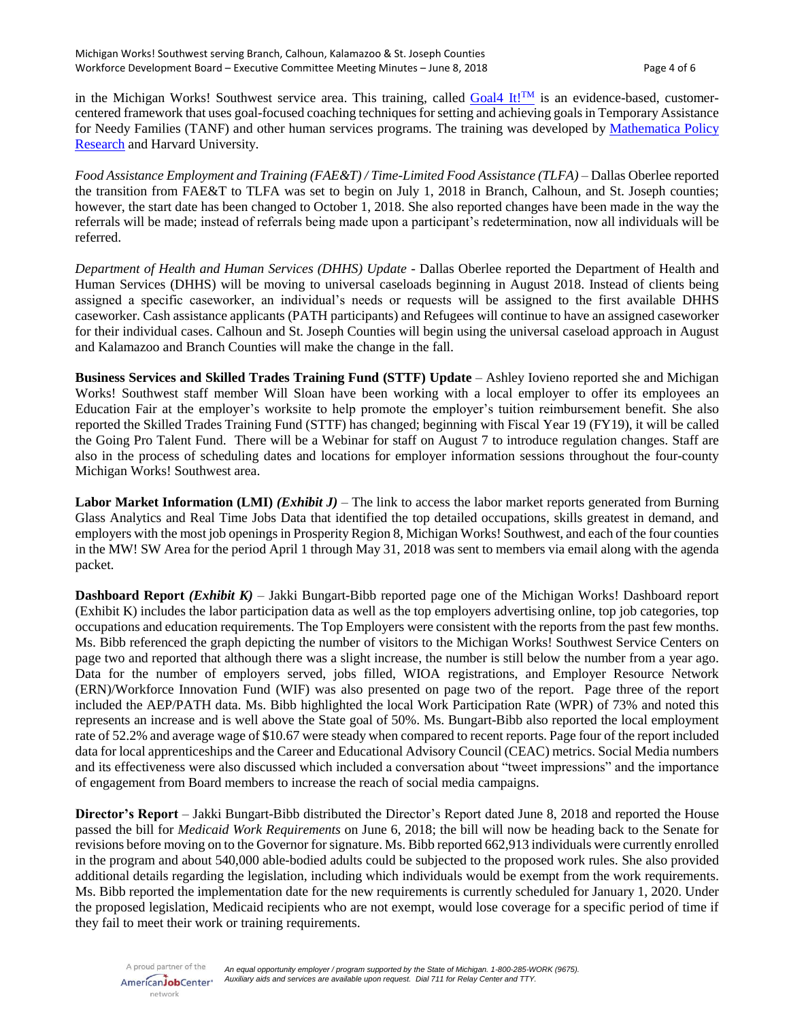in the Michigan Works! Southwest service area. This training, called [Goal4 It!](https://www.mathematica-mpr.com/video/goal4-it)<sup>TM</sup> is an evidence-based, customercentered framework that uses goal-focused coaching techniques for setting and achieving goals in Temporary Assistance for Needy Families (TANF) and other human services programs. The training was developed by [Mathematica](https://mathematica-mpr.com/) Policy [Research](https://mathematica-mpr.com/) and Harvard University.

*Food Assistance Employment and Training (FAE&T)/Time-Limited Food Assistance (TLFA) – Dallas Oberlee reported* the transition from FAE&T to TLFA was set to begin on July 1, 2018 in Branch, Calhoun, and St. Joseph counties; however, the start date has been changed to October 1, 2018. She also reported changes have been made in the way the referrals will be made; instead of referrals being made upon a participant's redetermination, now all individuals will be referred.

*Department of Health and Human Services (DHHS) Update* - Dallas Oberlee reported the Department of Health and Human Services (DHHS) will be moving to universal caseloads beginning in August 2018. Instead of clients being assigned a specific caseworker, an individual's needs or requests will be assigned to the first available DHHS caseworker. Cash assistance applicants (PATH participants) and Refugees will continue to have an assigned caseworker for their individual cases. Calhoun and St. Joseph Counties will begin using the universal caseload approach in August and Kalamazoo and Branch Counties will make the change in the fall.

**Business Services and Skilled Trades Training Fund (STTF) Update** – Ashley Iovieno reported she and Michigan Works! Southwest staff member Will Sloan have been working with a local employer to offer its employees an Education Fair at the employer's worksite to help promote the employer's tuition reimbursement benefit. She also reported the Skilled Trades Training Fund (STTF) has changed; beginning with Fiscal Year 19 (FY19), it will be called the Going Pro Talent Fund. There will be a Webinar for staff on August 7 to introduce regulation changes. Staff are also in the process of scheduling dates and locations for employer information sessions throughout the four-county Michigan Works! Southwest area.

**Labor Market Information (LMI)** *(Exhibit J)* – The link to access the labor market reports generated from Burning Glass Analytics and Real Time Jobs Data that identified the top detailed occupations, skills greatest in demand, and employers with the most job openings in Prosperity Region 8, Michigan Works! Southwest, and each of the four counties in the MW! SW Area for the period April 1 through May 31, 2018 was sent to members via email along with the agenda packet.

**Dashboard Report** *(Exhibit K)* – Jakki Bungart-Bibb reported page one of the Michigan Works! Dashboard report (Exhibit K) includes the labor participation data as well as the top employers advertising online, top job categories, top occupations and education requirements. The Top Employers were consistent with the reports from the past few months. Ms. Bibb referenced the graph depicting the number of visitors to the Michigan Works! Southwest Service Centers on page two and reported that although there was a slight increase, the number is still below the number from a year ago. Data for the number of employers served, jobs filled, WIOA registrations, and Employer Resource Network (ERN)/Workforce Innovation Fund (WIF) was also presented on page two of the report. Page three of the report included the AEP/PATH data. Ms. Bibb highlighted the local Work Participation Rate (WPR) of 73% and noted this represents an increase and is well above the State goal of 50%. Ms. Bungart-Bibb also reported the local employment rate of 52.2% and average wage of \$10.67 were steady when compared to recent reports. Page four of the report included data for local apprenticeships and the Career and Educational Advisory Council (CEAC) metrics. Social Media numbers and its effectiveness were also discussed which included a conversation about "tweet impressions" and the importance of engagement from Board members to increase the reach of social media campaigns.

**Director's Report** – Jakki Bungart-Bibb distributed the Director's Report dated June 8, 2018 and reported the House passed the bill for *Medicaid Work Requirements* on June 6, 2018; the bill will now be heading back to the Senate for revisions before moving on to the Governor for signature. Ms. Bibb reported 662,913 individuals were currently enrolled in the program and about 540,000 able-bodied adults could be subjected to the proposed work rules. She also provided additional details regarding the legislation, including which individuals would be exempt from the work requirements. Ms. Bibb reported the implementation date for the new requirements is currently scheduled for January 1, 2020. Under the proposed legislation, Medicaid recipients who are not exempt, would lose coverage for a specific period of time if they fail to meet their work or training requirements.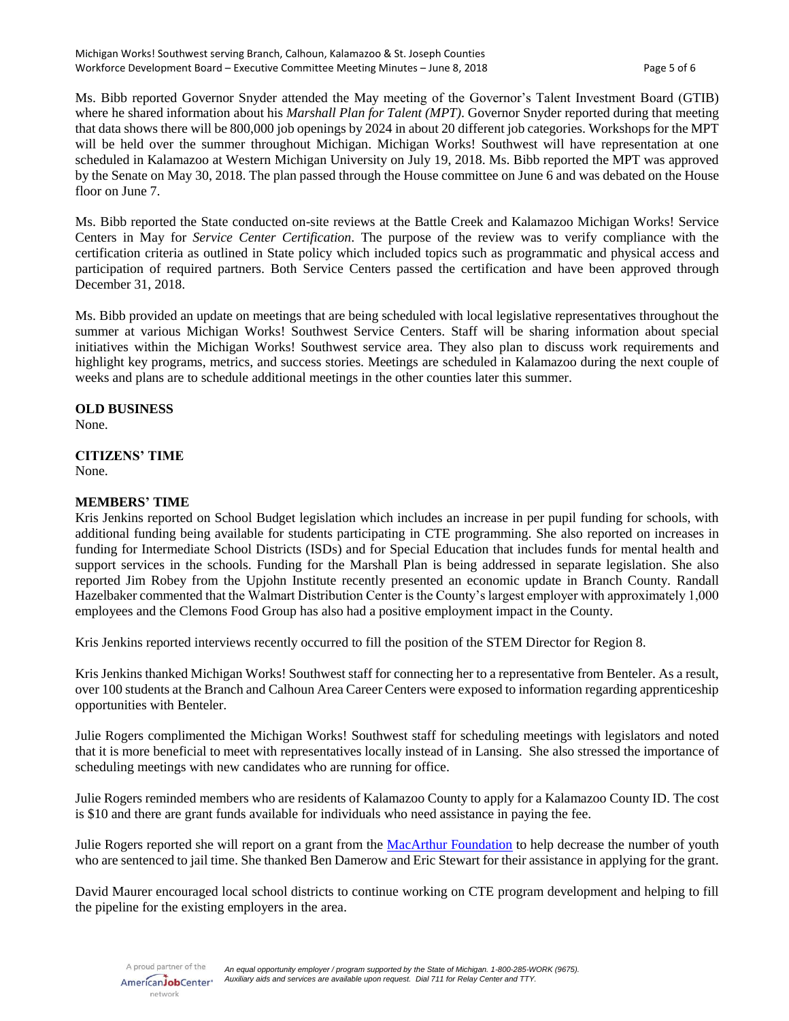Ms. Bibb reported Governor Snyder attended the May meeting of the Governor's Talent Investment Board (GTIB) where he shared information about his *Marshall Plan for Talent (MPT)*. Governor Snyder reported during that meeting that data shows there will be 800,000 job openings by 2024 in about 20 different job categories. Workshops for the MPT will be held over the summer throughout Michigan. Michigan Works! Southwest will have representation at one scheduled in Kalamazoo at Western Michigan University on July 19, 2018. Ms. Bibb reported the MPT was approved by the Senate on May 30, 2018. The plan passed through the House committee on June 6 and was debated on the House floor on June 7.

Ms. Bibb reported the State conducted on-site reviews at the Battle Creek and Kalamazoo Michigan Works! Service Centers in May for *Service Center Certification*. The purpose of the review was to verify compliance with the certification criteria as outlined in State policy which included topics such as programmatic and physical access and participation of required partners. Both Service Centers passed the certification and have been approved through December 31, 2018.

Ms. Bibb provided an update on meetings that are being scheduled with local legislative representatives throughout the summer at various Michigan Works! Southwest Service Centers. Staff will be sharing information about special initiatives within the Michigan Works! Southwest service area. They also plan to discuss work requirements and highlight key programs, metrics, and success stories. Meetings are scheduled in Kalamazoo during the next couple of weeks and plans are to schedule additional meetings in the other counties later this summer.

## **OLD BUSINESS**

None.

#### **CITIZENS' TIME** None.

## **MEMBERS' TIME**

Kris Jenkins reported on School Budget legislation which includes an increase in per pupil funding for schools, with additional funding being available for students participating in CTE programming. She also reported on increases in funding for Intermediate School Districts (ISDs) and for Special Education that includes funds for mental health and support services in the schools. Funding for the Marshall Plan is being addressed in separate legislation. She also reported Jim Robey from the Upjohn Institute recently presented an economic update in Branch County. Randall Hazelbaker commented that the Walmart Distribution Center is the County's largest employer with approximately 1,000 employees and the Clemons Food Group has also had a positive employment impact in the County.

Kris Jenkins reported interviews recently occurred to fill the position of the STEM Director for Region 8.

Kris Jenkins thanked Michigan Works! Southwest staff for connecting her to a representative from Benteler. As a result, over 100 students at the Branch and Calhoun Area Career Centers were exposed to information regarding apprenticeship opportunities with Benteler.

Julie Rogers complimented the Michigan Works! Southwest staff for scheduling meetings with legislators and noted that it is more beneficial to meet with representatives locally instead of in Lansing. She also stressed the importance of scheduling meetings with new candidates who are running for office.

Julie Rogers reminded members who are residents of Kalamazoo County to apply for a Kalamazoo County ID. The cost is \$10 and there are grant funds available for individuals who need assistance in paying the fee.

Julie Rogers reported she will report on a grant from the [MacArthur Foundation](https://www.macfound.org/press/40-years-40-stories/competition-address-mass-incarceration/) to help decrease the number of youth who are sentenced to jail time. She thanked Ben Damerow and Eric Stewart for their assistance in applying for the grant.

David Maurer encouraged local school districts to continue working on CTE program development and helping to fill the pipeline for the existing employers in the area.